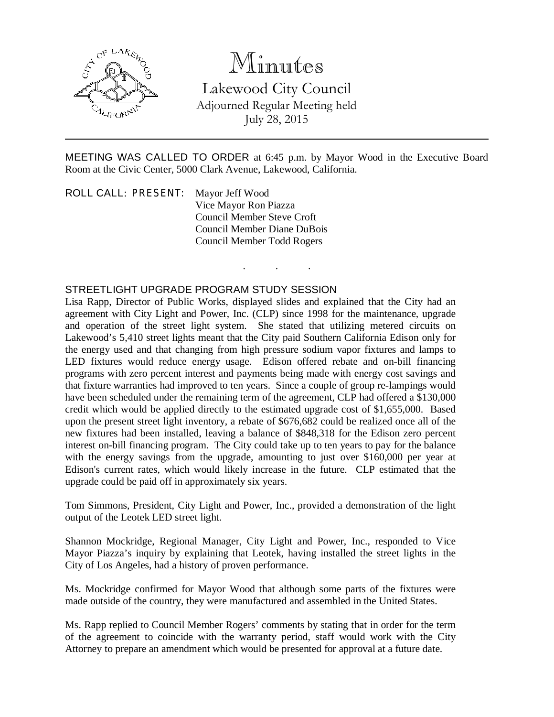

## Minutes

Lakewood City Council Adjourned Regular Meeting held July 28, 2015

MEETING WAS CALLED TO ORDER at 6:45 p.m. by Mayor Wood in the Executive Board Room at the Civic Center, 5000 Clark Avenue, Lakewood, California.

. . .

ROLL CALL: PRESENT: Mayor Jeff Wood Vice Mayor Ron Piazza Council Member Steve Croft Council Member Diane DuBois Council Member Todd Rogers

## STREETLIGHT UPGRADE PROGRAM STUDY SESSION

Lisa Rapp, Director of Public Works, displayed slides and explained that the City had an agreement with City Light and Power, Inc. (CLP) since 1998 for the maintenance, upgrade and operation of the street light system. She stated that utilizing metered circuits on Lakewood's 5,410 street lights meant that the City paid Southern California Edison only for the energy used and that changing from high pressure sodium vapor fixtures and lamps to LED fixtures would reduce energy usage. Edison offered rebate and on-bill financing programs with zero percent interest and payments being made with energy cost savings and that fixture warranties had improved to ten years. Since a couple of group re-lampings would have been scheduled under the remaining term of the agreement, CLP had offered a \$130,000 credit which would be applied directly to the estimated upgrade cost of \$1,655,000. Based upon the present street light inventory, a rebate of \$676,682 could be realized once all of the new fixtures had been installed, leaving a balance of \$848,318 for the Edison zero percent interest on-bill financing program. The City could take up to ten years to pay for the balance with the energy savings from the upgrade, amounting to just over \$160,000 per year at Edison's current rates, which would likely increase in the future. CLP estimated that the upgrade could be paid off in approximately six years.

Tom Simmons, President, City Light and Power, Inc., provided a demonstration of the light output of the Leotek LED street light.

Shannon Mockridge, Regional Manager, City Light and Power, Inc., responded to Vice Mayor Piazza's inquiry by explaining that Leotek, having installed the street lights in the City of Los Angeles, had a history of proven performance.

Ms. Mockridge confirmed for Mayor Wood that although some parts of the fixtures were made outside of the country, they were manufactured and assembled in the United States.

Ms. Rapp replied to Council Member Rogers' comments by stating that in order for the term of the agreement to coincide with the warranty period, staff would work with the City Attorney to prepare an amendment which would be presented for approval at a future date.